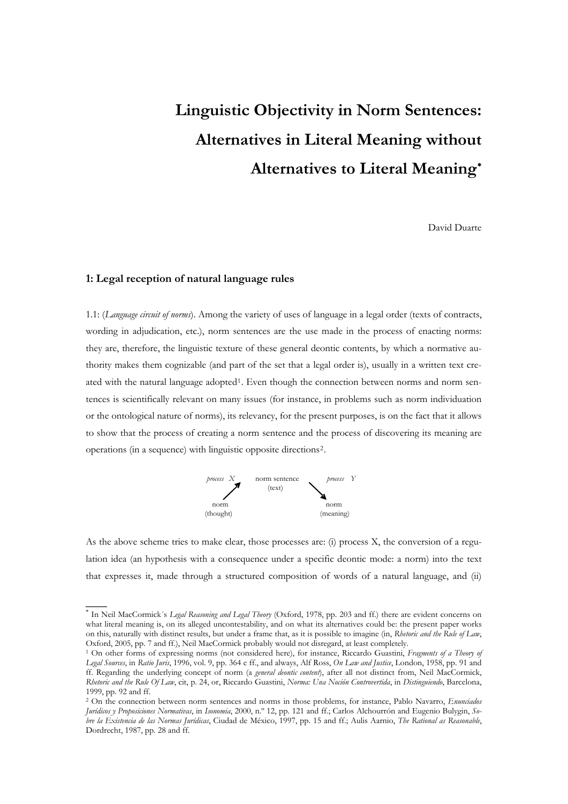# **Linguistic Objectivity in Norm Sentences: Alternatives in Literal Meaning without Alternatives to Literal Meaning**[∗](#page-0-0)

David Duarte

# **1: Legal reception of natural language rules**

 $\overline{\phantom{a}}$ 

1.1: (*Language circuit of norms*). Among the variety of uses of language in a legal order (texts of contracts, wording in adjudication, etc.), norm sentences are the use made in the process of enacting norms: they are, therefore, the linguistic texture of these general deontic contents, by which a normative authority makes them cognizable (and part of the set that a legal order is), usually in a written text cre-ated with the natural language adopted<sup>[1](#page-0-1)</sup>. Even though the connection between norms and norm sentences is scientifically relevant on many issues (for instance, in problems such as norm individuation or the ontological nature of norms), its relevancy, for the present purposes, is on the fact that it allows to show that the process of creating a norm sentence and the process of discovering its meaning are operations (in a sequence) with linguistic opposite directions[2](#page-0-2).



that expresses it, made through a structured composition of words of a natural language, and (ii) As the above scheme tries to make clear, those processes are: (i) process X, the conversion of a regulation idea (an hypothesis with a consequence under a specific deontic mode: a norm) into the text

<span id="page-0-0"></span><sup>∗</sup> In Neil MacCormick´s *Legal Reasoning and Legal Theory* (Oxford, 1978, pp. 203 and ff.) there are evident concerns on what literal meaning is, on its alleged uncontestability, and on what its alternatives could be: the present paper works on this, naturally with distinct results, but under a frame that, as it is possible to imagine (in, *Rhetoric and the Rule of Law*, Oxford, 2005, pp. 7 and ff.), Neil MacCormick probably would not disregard, at least compl

<span id="page-0-1"></span><sup>&</sup>lt;sup>1</sup> On other forms of expressing norms (not considered here), for instance, Riccardo Guastini, *Fragments of a Theory of Legal Sources*, in *Ratio Juris*, 1996, vol. 9, pp. 364 e ff., and always, Alf Ross, *On Law and Justice*, London, 1958, pp. 91 and ff. Regarding the underlying concept of norm (a *general deontic content*), after all not distinct from, Neil MacCormick, *Rhetoric and the Rule Of Law*, cit, p. 24, or, Riccardo Guastini, *Norma: Una Noción Controvertida*, in *Distinguiendo*, Barcelona, 1999, pp. 92 and ff.

<span id="page-0-2"></span><sup>2</sup> On the connection between norm sentences and norms in those problems, for instance, Pablo Navarro, *Enunciados Jurídicos y Proposiciones Normativas*, in *Isonomia*, 2000, n.º 12, pp. 121 and ff.; Carlos Alchourrón and Eugenio Bulygin, *Sobre la Existencia de las Normas Jurídicas*, Ciudad de México, 1997, pp. 15 and ff.; Aulis Aarnio, *The Rational as Reasonable*, Dordrecht, 1987, pp. 28 and ff.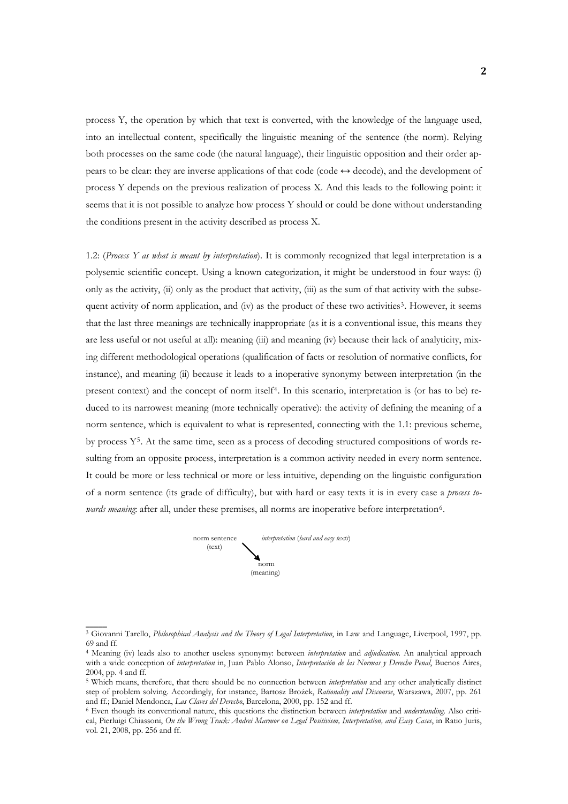process Y, the operation by which that text is converted, with the knowledge of the language used, into an intellectual content, specifically the linguistic meaning of the sentence (the norm). Relying both processes on the same code (the natural language), their linguistic opposition and their order appears to be clear: they are inverse applications of that code (code  $\leftrightarrow$  decode), and the development of process Y depends on the previous realization of process X. And this leads to the following point: it seems that it is not possible to analyze how process Y should or could be done without understanding the conditions present in the activity described as process X.

1.2: (*Process Y as what is meant by interpretation*). It is commonly recognized that legal interpretation is a polysemic scientific concept. Using a known categorization, it might be understood in four ways: (i) only as the activity, (ii) only as the product that activity, (iii) as the sum of that activity with the subse-quent activity of norm application, and (iv) as the product of these two activities<sup>[3](#page-1-0)</sup>. However, it seems that the last three meanings are technically inappropriate (as it is a conventional issue, this means they are less useful or not useful at all): meaning (iii) and meaning (iv) because their lack of analyticity, mixing different methodological operations (qualification of facts or resolution of normative conflicts, for instance), and meaning (ii) because it leads to a inoperative synonymy between interpretation (in the present context) and the concept of norm itself[4](#page-1-1). In this scenario, interpretation is (or has to be) reduced to its narrowest meaning (more technically operative): the activity of defining the meaning of a norm sentence, which is equivalent to what is represented, connecting with the 1.1: previous scheme, by process Y[5](#page-1-2). At the same time, seen as a process of decoding structured compositions of words resulting from an opposite process, interpretation is a common activity needed in every norm sentence. It could be more or less technical or more or less intuitive, depending on the linguistic configuration of a norm sentence (its grade of difficulty), but with hard or easy texts it is in every case a *process towards meaning*: after all, under these premises, all norms are inoperative before interpretation<sup>6</sup>.



<span id="page-1-0"></span><sup>3</sup> Giovanni Tarello, *Philosophical Analysis and the Theory of Legal Interpretation*, in Law and Language, Liverpool, 1997, pp. 69 and ff.

<span id="page-1-1"></span><sup>4</sup> Meaning (iv) leads also to another useless synonymy: between *interpretation* and *adjudication*. An analytical approach with a wide conception of *interpretation* in, Juan Pablo Alonso, *Interpretación de las Normas y Derecho Penal*, Buenos Aires, 2004, pp. 4 and ff.

<span id="page-1-2"></span><sup>5</sup> Which means, therefore, that there should be no connection between *interpretation* and any other analytically distinct step of problem solving. Accordingly, for instance, Bartosz Brożek, *Rationality and Discourse*, Warszawa, 2007, pp. 261

<span id="page-1-3"></span><sup>&</sup>lt;sup>6</sup> Even though its conventional nature, this questions the distinction between *interpretation* and *understanding*. Also critical, Pierluigi Chiassoni, *On the Wrong Track: Andrei Marmor on Legal Positivism, Interpretation, and Easy Cases*, in Ratio Juris, vol. 21, 2008, pp. 256 and ff.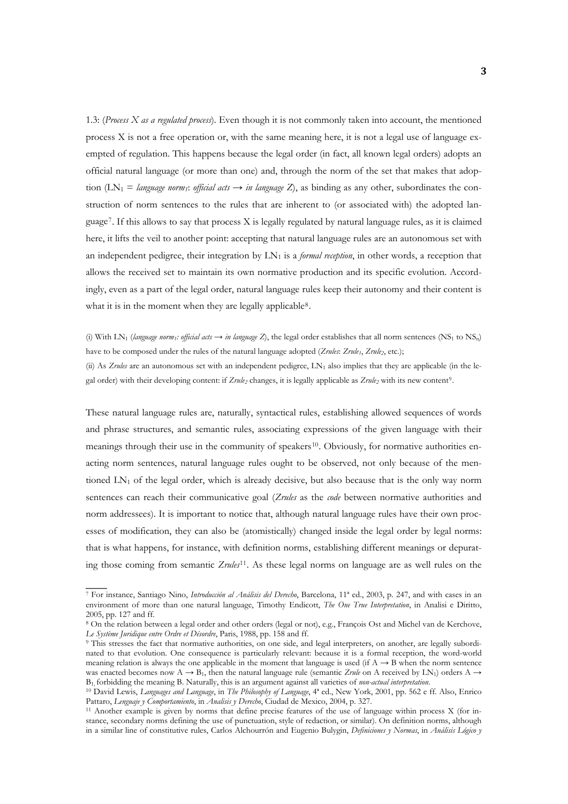1.3: (*Process X as a regulated process*). Even though it is not commonly taken into account, the mentioned process X is not a free operation or, with the same meaning here, it is not a legal use of language exempted of regulation. This happens because the legal order (in fact, all known legal orders) adopts an official natural language (or more than one) and, through the norm of the set that makes that adoption (LN<sub>1</sub> = *language norm<sub>1</sub>*: *official acts*  $\rightarrow$  *in language Z*), as binding as any other, subordinates the construction of norm sentences to the rules that are inherent to (or associated with) the adopted language[7](#page-2-0). If this allows to say that process X is legally regulated by natural language rules, as it is claimed here, it lifts the veil to another point: accepting that natural language rules are an autonomous set with an independent pedigree, their integration by LN<sub>1</sub> is a *formal reception*, in other words, a reception that allows the received set to maintain its own normative production and its specific evolution. Accordingly, even as a part of the legal order, natural language rules keep their autonomy and their content is what it is in the moment when they are legally applicable<sup>[8](#page-2-1)</sup>.

(i) With LN<sub>1</sub> (*language norm<sub>1</sub>: official acts*  $\rightarrow$  *in language Z*), the legal order establishes that all norm sentences (NS<sub>1</sub> to NS<sub>n</sub>) have to be composed under the rules of the natural language adopted (*Zrules*: *Zrule<sub>1</sub>*, *Zrule<sub>2</sub>*, etc.); (ii) As *Zrules* are an autonomous set with an independent pedigree,  $LN_1$  also implies that they are applicable (in the le-

gal order) with their developing content: if  $Z\nu \nu \nu_2$  changes, it is legally applicable as  $Z\nu \nu \nu_2$  with its new content<sup>[9](#page-2-2)</sup>.

ing th ose coming from semantic *Zrules*[11](#page-2-4). As these legal norms on language are as well rules on the These natural language rules are, naturally, syntactical rules, establishing allowed sequences of words and phrase structures, and semantic rules, associating expressions of the given language with their meanings through their use in the community of speakers<sup>[10](#page-2-3)</sup>. Obviously, for normative authorities enacting norm sentences, natural language rules ought to be observed, not only because of the mentioned  $LN_1$  of the legal order, which is already decisive, but also because that is the only way norm sentences can reach their communicative goal (*Zrules* as the *code* between normative authorities and norm addressees). It is important to notice that, although natural language rules have their own processes of modification, they can also be (atomistically) changed inside the legal order by legal norms: that is what happens, for instance, with definition norms, establishing different meanings or depurat-

<span id="page-2-0"></span><sup>7</sup> For instance, Santiago Nino, *Introducción al Análisis del Derecho*, Barcelona, 11ª ed., 2003, p. 247, and with cases in an environment of more than one natural language, Timothy Endicott, *The One True Interpretation*, in Analisi e Diritto, 2005, pp. 127 and ff.

<span id="page-2-1"></span><sup>8</sup> On the relation between a legal order and other orders (legal or not), e.g., François Ost and Michel van de Kerchove, Le Système Juridique entre Ordre et Désordre, Paris, 1988, pp. 158 and ff.

<span id="page-2-2"></span><sup>&</sup>lt;sup>9</sup> This stresses the fact that normative authorities, on one side, and legal interpreters, on another, are legally subordinated to that evolution. One consequence is particularly relevant: because it is a formal reception, the word-world meaning relation is always the one applicable in the moment that language is used (if  $A \rightarrow B$  when the norm sentence was enacted becomes now  $A \rightarrow B_1$ , then the natural language rule (semantic *Zrule* on A received by LN<sub>1</sub>) orders  $A \rightarrow$ B<sub>1</sub> forbidding the meaning B. Naturally, this is an argument against all varieties of non-actual interpretation.<br><sup>10</sup> David Lewis, Languages and Language, in *The Philosophy of Language*, 4<sup>ª</sup> ed., New York, 2001, pp. 562

<span id="page-2-3"></span>Pattaro, *Lenguaje y Comportamiento*, in *Analisis y Derecho*, Ciudad de Mexico, 2004, p. 327.<br><sup>11</sup> Another example is given by norms that define precise features of the use of language within process X (for in-

<span id="page-2-4"></span>stance, secondary norms defining the use of punctuation, style of redaction, or similar). On definition norms, although in a similar line of constitutive rules, Carlos Alchourrón and Eugenio Bulygin, *Definiciones y Normas*, in *Análisis Lógico y*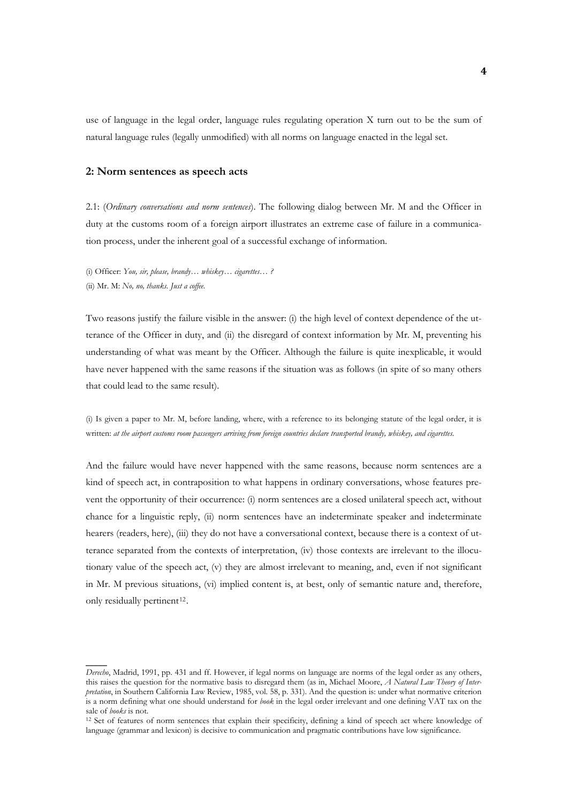natural language rules (legally unmodified) with all norms on language enacted in the legal set. use of language in the legal order, language rules regulating operation X turn out to be the sum of

# **2: Norm sentences as speech acts**

2.1: (*Ordinary conversations and norm sentences*). The following dialog between Mr. M and the Officer in duty at the customs room of a foreign airport illustrates an extreme case of failure in a communication process, under the inherent goal of a successful exchange of information.

(i) Officer: *You, sir, please, brandy… whiskey… cigarettes… ?* (ii) Mr. M: *No, no, thanks. Just a coffee.*

 $\overline{\phantom{a}}$ 

Two reasons justify the failure visible in the answer: (i) the high level of context dependence of the utterance of the Officer in duty, and (ii) the disregard of context information by Mr. M, preventing his understanding of what was meant by the Officer. Although the failure is quite inexplicable, it would have never happened with the same reasons if the situation was as follows (in spite of so many others that could lead to the same result).

(i) Is given a paper to Mr. M, before landing, where, with a reference to its belonging statute of the legal order, it is written: *at the airport customs room passengers arriving from foreign countries declare transported brandy, whiskey, and cigarettes.* 

And the failure would have never happened with the same reasons, because norm sentences are a kind of speech act, in contraposition to what happens in ordinary conversations, whose features prevent the opportunity of their occurrence: (i) norm sentences are a closed unilateral speech act, without chance for a linguistic reply, (ii) norm sentences have an indeterminate speaker and indeterminate hearers (readers, here), (iii) they do not have a conversational context, because there is a context of utterance separated from the contexts of interpretation, (iv) those contexts are irrelevant to the illocutionary value of the speech act, (v) they are almost irrelevant to meaning, and, even if not significant in Mr. M previous situations, (vi) implied content is, at best, only of semantic nature and, therefore, only residually pertinent<sup>[12](#page-3-0)</sup>.

*Derecho*, Madrid, 1991, pp. 431 and ff. However, if legal norms on language are norms of the legal order as any others, this raises the question for the normative basis to disregard them (as in, Michael Moore, *A Natural Law Theory of Interpretation*, in Southern California Law Review, 1985, vol. 58, p. 331). And the question is: under what normative criterion is a norm defining what one should understand for *book* in the legal order irrelevant and one defining VAT tax on the

<span id="page-3-0"></span><sup>&</sup>lt;sup>12</sup> Set of features of norm sentences that explain their specificity, defining a kind of speech act where knowledge of language (grammar and lexicon) is decisive to communication and pragmatic contributions have low significance.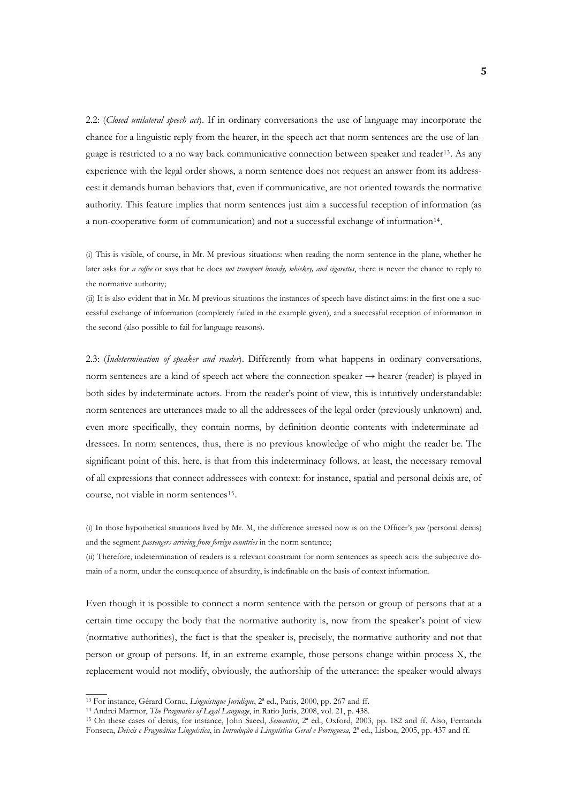2.2: (*Closed unilateral speech act*). If in ordinary conversations the use of language may incorporate the chance for a linguistic reply from the hearer, in the speech act that norm sentences are the use of language is restricted to a no way back communicative connection between speaker and reader[13](#page-4-0). As any experience with the legal order shows, a norm sentence does not request an answer from its addressees: it demands human behaviors that, even if communicative, are not oriented towards the normative authority. This feature implies that norm sentences just aim a successful reception of information (as a non-cooperative form of communication) and not a successful exchange of information[14](#page-4-1).

(i) This is visible, of course, in Mr. M previous situations: when reading the norm sentence in the plane, whether he later asks for *a coffee* or says that he does *not transport brandy, whiskey, and cigarettes*, there is never the chance to reply to the normative authority;

(ii) It is also evident that in Mr. M previous situations the instances of speech have distinct aims: in the first one a successful exchange of information (completely failed in the example given), and a successful reception of information in the second (also possible to fail for language reasons).

2.3: (*Indetermination of speaker and reader*). Differently from what happens in ordinary conversations, norm sentences are a kind of speech act where the connection speaker  $\rightarrow$  hearer (reader) is played in both sides by indeterminate actors. From the reader's point of view, this is intuitively understandable: norm sentences are utterances made to all the addressees of the legal order (previously unknown) and, even more specifically, they contain norms, by definition deontic contents with indeterminate addressees. In norm sentences, thus, there is no previous knowledge of who might the reader be. The significant point of this, here, is that from this indeterminacy follows, at least, the necessary removal of all expressions that connect addressees with context: for instance, spatial and personal deixis are, of course, not viable in norm sentences<sup>[15](#page-4-2)</sup>.

(i) In those hypothetical situations lived by Mr. M, the difference stressed now is on the Officer's *you* (personal deixis) and the segment *passengers arriving from foreign countries* in the norm sentence;

(ii) Therefore, indetermination of readers is a relevant constraint for norm sentences as speech acts: the subjective domain of a norm, under the consequence of absurdity, is indefinable on the basis of context information.

replac ement would not modify, obviously, the authorship of the utterance: the speaker would always Even though it is possible to connect a norm sentence with the person or group of persons that at a certain time occupy the body that the normative authority is, now from the speaker's point of view (normative authorities), the fact is that the speaker is, precisely, the normative authority and not that person or group of persons. If, in an extreme example, those persons change within process X, the

<span id="page-4-2"></span>

<span id="page-4-1"></span><span id="page-4-0"></span><sup>&</sup>lt;sup>13</sup> For instance, Gérard Cornu, *Linguistique Juridique*, 2<sup>ª</sup> ed., Paris, 2000, pp. 267 and ff.<br><sup>14</sup> Andrei Marmor, *The Pragmatics of Legal Language*, in Ratio Juris, 2008, vol. 21, p. 438.<br><sup>15</sup> On these cases of deixis Fonseca, *Deixis e Pragmática Linguística*, in *Introdução à Linguística Geral e Portuguesa*, 2ª ed., Lisboa, 2005, pp. 437 and ff.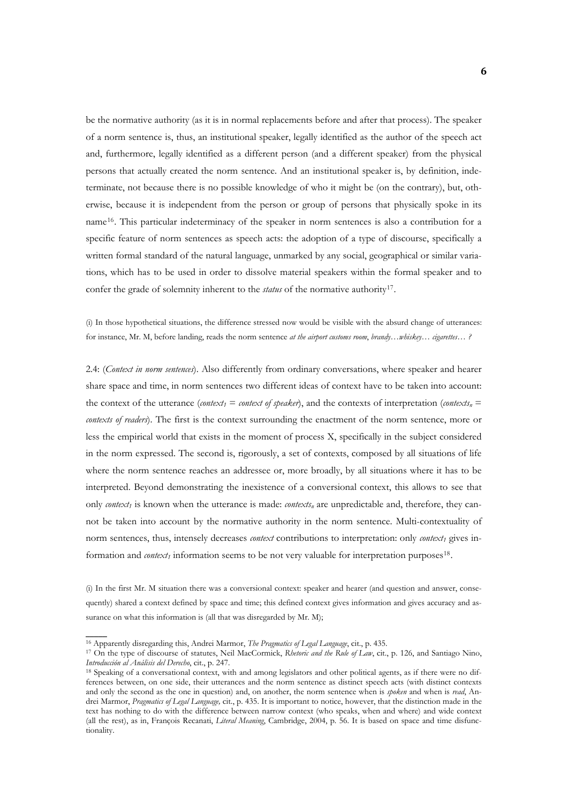be the normative authority (as it is in normal replacements before and after that process). The speaker of a norm sentence is, thus, an institutional speaker, legally identified as the author of the speech act and, furthermore, legally identified as a different person (and a different speaker) from the physical persons that actually created the norm sentence. And an institutional speaker is, by definition, indeterminate, not because there is no possible knowledge of who it might be (on the contrary), but, otherwise, because it is independent from the person or group of persons that physically spoke in its name[16](#page-5-0). This particular indeterminacy of the speaker in norm sentences is also a contribution for a specific feature of norm sentences as speech acts: the adoption of a type of discourse, specifically a written formal standard of the natural language, unmarked by any social, geographical or similar variations, which has to be used in order to dissolve material speakers within the formal speaker and to confer the grade of solemnity inherent to the *status* of the normative authority[17](#page-5-1).

(i) In those hypothetical situations, the difference stressed now would be visible with the absurd change of utterances: for instance, Mr. M, before landing, reads the norm sentence *at the airport customs room*, *brandy…whiskey… cigarettes… ?* 

2.4: (*Context in norm sentences*). Also differently from ordinary conversations, where speaker and hearer share space and time, in norm sentences two different ideas of context have to be taken into account: the context of the utterance (*context<sub>1</sub>* = *context of speaker*), and the contexts of interpretation (*contexts<sub>n</sub>* = *contexts of readers*). The first is the context surrounding the enactment of the norm sentence, more or less the empirical world that exists in the moment of process X, specifically in the subject considered in the norm expressed. The second is, rigorously, a set of contexts, composed by all situations of life where the norm sentence reaches an addressee or, more broadly, by all situations where it has to be interpreted. Beyond demonstrating the inexistence of a conversional context, this allows to see that only *context<sub>1</sub>* is known when the utterance is made: *contexts<sub>n</sub>* are unpredictable and, therefore, they cannot be taken into account by the normative authority in the norm sentence. Multi-contextuality of norm sentences, thus, intensely decreases *context* contributions to interpretation: only *context<sub>1</sub>* gives information and *context<sub>1</sub>* information seems to be not very valuable for interpretation purposes<sup>[18](#page-5-2)</sup>.

quently ) shared a context defined by space and time; this defined context gives information and gives accuracy and assurance on what this information is (all that was disregarded by Mr. M); (i) In the first Mr. M situation there was a conversional context: speaker and hearer (and question and answer, conse-

<span id="page-5-1"></span><span id="page-5-0"></span><sup>&</sup>lt;sup>16</sup> Apparently disregarding this, Andrei Marmor, *The Pragmatics of Legal Language*, cit., p. 435.<br><sup>17</sup> On the type of discourse of statutes, Neil MacCormick, *Rhetoric and the Rule of Law*, cit., p. 126, and Santiago Nin

<span id="page-5-2"></span><sup>&</sup>lt;sup>18</sup> Speaking of a conversational context, with and among legislators and other political agents, as if there were no differences between, on one side, their utterances and the norm sentence as distinct speech acts (with distinct contexts and only the second as the one in question) and, on another, the norm sentence when is *spoken* and when is *read*, Andrei Marmor, *Pragmatics of Legal Language,* cit., p. 435. It is important to notice, however, that the distinction made in the text has nothing to do with the difference between narrow context (who speaks, when and where) and wide context (all the rest), as in, François Recanati, *Literal Meaning*, Cambridge, 2004, p. 56. It is based on space and time disfunctionality.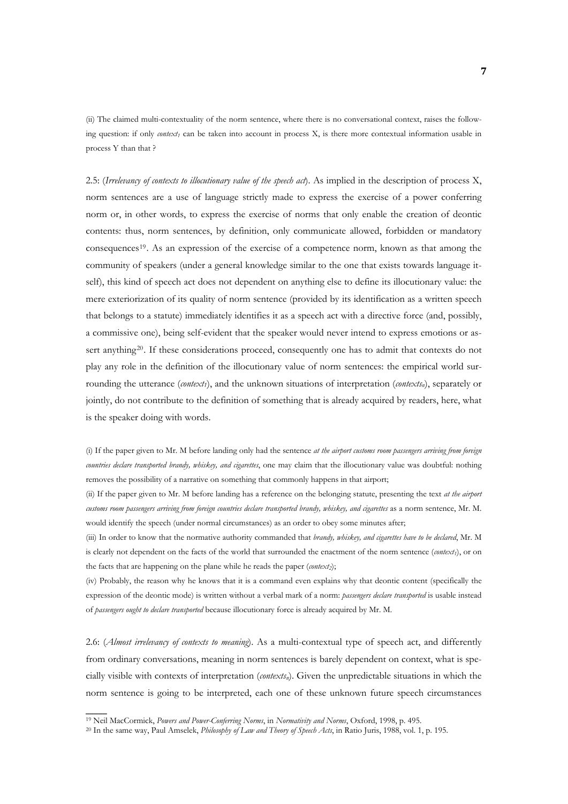(ii) The claimed multi-contextuality of the norm sentence, where there is no conversational context, raises the following question: if only *context<sub>1</sub>* can be taken into account in process X, is there more contextual information usable in process Y than that ?

2.5: (*Irrelevancy of contexts to illocutionary value of the speech act*). As implied in the description of process X, norm sentences are a use of language strictly made to express the exercise of a power conferring norm or, in other words, to express the exercise of norms that only enable the creation of deontic contents: thus, norm sentences, by definition, only communicate allowed, forbidden or mandatory consequences[19](#page-6-0). As an expression of the exercise of a competence norm, known as that among the community of speakers (under a general knowledge similar to the one that exists towards language itself), this kind of speech act does not dependent on anything else to define its illocutionary value: the mere exteriorization of its quality of norm sentence (provided by its identification as a written speech that belongs to a statute) immediately identifies it as a speech act with a directive force (and, possibly, a commissive one), being self-evident that the speaker would never intend to express emotions or as-sert anything<sup>[20](#page-6-1)</sup>. If these considerations proceed, consequently one has to admit that contexts do not play any role in the definition of the illocutionary value of norm sentences: the empirical world surrounding the utterance (*context1*), and the unknown situations of interpretation (*contextsn*), separately or jointly, do not contribute to the definition of something that is already acquired by readers, here, what is the speaker doing with words.

(i) If the paper given to Mr. M before landing only had the sentence *at the airport customs room passengers arriving from foreign countries declare transported brandy, whiskey, and cigarettes*, one may claim that the illocutionary value was doubtful: nothing removes the possibility of a narrative on something that commonly happens in that airport;

(ii) If the paper given to Mr. M before landing has a reference on the belonging statute, presenting the text *at the airport customs room passengers arriving from foreign countries declare transported brandy, whiskey, and cigarettes* as a norm sentence, Mr. M. would identify the speech (under normal circumstances) as an order to obey some minutes after;

(iii) In order to know that the normative authority commanded that *brandy, whiskey, and cigarettes have to be declared*, Mr. M is clearly not dependent on the facts of the world that surrounded the enactment of the norm sentence  $(context<sub>1</sub>)$ , or on the facts that are happening on the plane while he reads the paper (*context2*);

(iv) Probably, the reason why he knows that it is a command even explains why that deontic content (specifically the expression of the deontic mode) is written without a verbal mark of a norm: *passengers declare transported* is usable instead of *passengers ought to declare transported* because illocutionary force is already acquired by Mr. M.

norm sentence is going to be interpreted, each one of these unknown future speech circumstances 2.6: (*Almost irrelevancy of contexts to meaning*). As a multi-contextual type of speech act, and differently from ordinary conversations, meaning in norm sentences is barely dependent on context, what is specially visible with contexts of interpretation (*contextsn*). Given the unpredictable situations in which the

<span id="page-6-1"></span><span id="page-6-0"></span><sup>&</sup>lt;sup>19</sup> Neil MacCormick, *Powers and Power-Conferring Norms*, in *Normativity and Norms*, Oxford, 1998, p. 495.<br><sup>20</sup> In the same way, Paul Amselek, *Philosophy of Law and Theory of Speech Acts*, in Ratio Juris, 1988, vol. 1,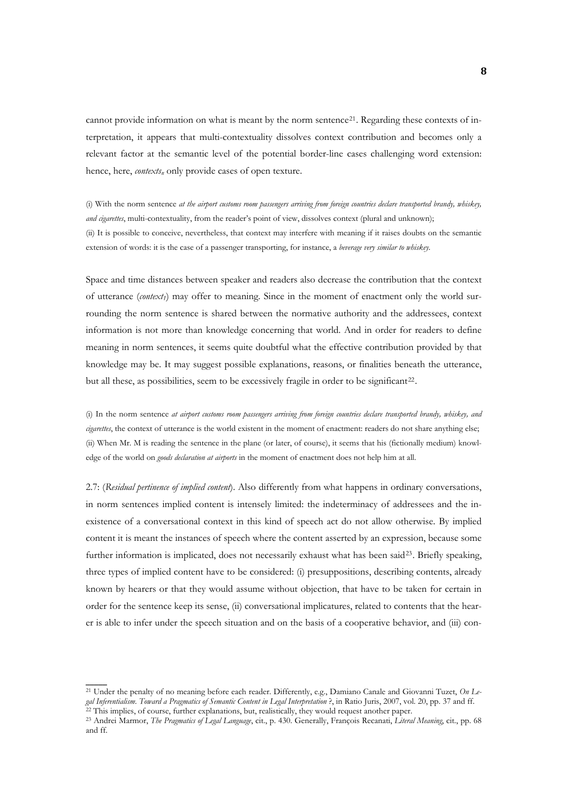cannot provide information on what is meant by the norm sentence<sup>[21](#page-7-0)</sup>. Regarding these contexts of interpretation, it appears that multi-contextuality dissolves context contribution and becomes only a relevant factor at the semantic level of the potential border-line cases challenging word extension: hence, here, *contexts<sub>n</sub>* only provide cases of open texture.

(i) With the norm sentence *at the airport customs room passengers arriving from foreign countries declare transported brandy, whiskey, and cigarettes*, multi-contextuality, from the reader's point of view, dissolves context (plural and unknown); (ii) It is possible to conceive, nevertheless, that context may interfere with meaning if it raises doubts on the semantic extension of words: it is the case of a passenger transporting, for instance, a *beverage very similar to whiskey*.

Space and time distances between speaker and readers also decrease the contribution that the context of utterance (*context1*) may offer to meaning. Since in the moment of enactment only the world surrounding the norm sentence is shared between the normative authority and the addressees, context information is not more than knowledge concerning that world. And in order for readers to define meaning in norm sentences, it seems quite doubtful what the effective contribution provided by that knowledge may be. It may suggest possible explanations, reasons, or finalities beneath the utterance, but all these, as possibilities, seem to be excessively fragile in order to be significant<sup>[22](#page-7-1)</sup>.

(i) In the norm sentence *at airport customs room passengers arriving from foreign countries declare transported brandy, whiskey, and cigarettes*, the context of utterance is the world existent in the moment of enactment: readers do not share anything else; (ii) When Mr. M is reading the sentence in the plane (or later, of course), it seems that his (fictionally medium) knowledge of the world on *goods declaration at airports* in the moment of enactment does not help him at all.

2.7: (*Residual pertinence of implied content*). Also differently from what happens in ordinary conversations, in norm sentences implied content is intensely limited: the indeterminacy of addressees and the inexistence of a conversational context in this kind of speech act do not allow otherwise. By implied content it is meant the instances of speech where the content asserted by an expression, because some further information is implicated, does not necessarily exhaust what has been said<sup>[23](#page-7-2)</sup>. Briefly speaking, three types of implied content have to be considered: (i) presuppositions, describing contents, already known by hearers or that they would assume without objection, that have to be taken for certain in order for the sentence keep its sense, (ii) conversational implicatures, related to contents that the hearer is able to infer under the speech situation and on the basis of a cooperative behavior, and (iii) con-

<span id="page-7-0"></span><sup>21</sup> Under the penalty of no meaning before each reader. Differently, e.g., Damiano Canale and Giovanni Tuzet, *On Le*gal Inferentialism. Toward a Pragmatics of Semantic Content in Legal Interpretation ?, in Ratio Juris, 2007, vol. 20, pp. 37 and ff. <sup>22</sup> This implies, of course, further explanations, but, realistically, they would reques

<span id="page-7-2"></span><span id="page-7-1"></span><sup>23</sup> Andrei Marmor, *The Pragmatics of Legal Language*, cit., p. 430. Generally, François Recanati, *Literal Meaning*, cit., pp. 68 and ff.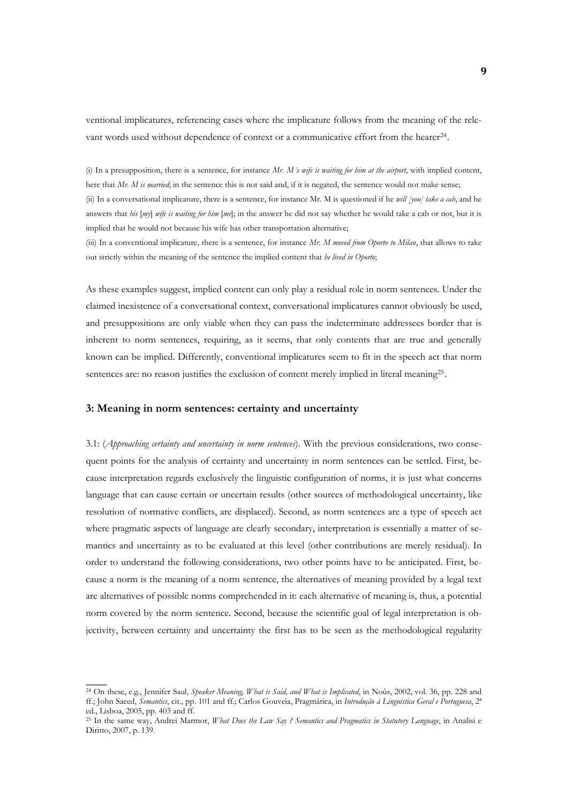ventional implicatures, referencing cases where the implicature follows from the meaning of the rele-vant words used without dependence of context or a communicative effort from the hearer<sup>[24](#page-8-0)</sup>.

(i) In a presupposition, there is a sentence, for instance *Mr. M´s wife is waiting for him at the airport*, with implied content, here that *Mr. M is married*; in the sentence this is not said and, if it is negated, the sentence would not make sense; (ii) In a conversational implicature, there is a sentence, for instance Mr. M is questioned if he *will [you] take a cab*, and he answers that *his* [*my*] *wife is waiting for him* [*me*]; in the answer he did not say whether he would take a cab or not, but it is implied that he would not because his wife has other transportation alternative;

(iii) In a conventional implicature, there is a sentence, for instance *Mr. M moved from Oporto to Milan*, that allows to take out strictly within the meaning of the sentence the implied content that *he lived in Oporto*;

As these examples suggest, implied content can only play a residual role in norm sentences. Under the claimed inexistence of a conversational context, conversational implicatures cannot obviously be used, and presuppositions are only viable when they can pass the indeterminate addressees border that is inherent to norm sentences, requiring, as it seems, that only contents that are true and generally known can be implied. Differently, conventional implicatures seem to fit in the speech act that norm sentences are: no reason justifies the exclusion of content merely implied in literal meaning<sup>[25](#page-8-1)</sup>.

### **3: Meaning in norm sentences: certainty and uncertainty**

 $\overline{\phantom{a}}$ 

3.1: (*Approaching certainty and uncertainty in norm sentences*). With the previous considerations, two consequent points for the analysis of certainty and uncertainty in norm sentences can be settled. First, because interpretation regards exclusively the linguistic configuration of norms, it is just what concerns language that can cause certain or uncertain results (other sources of methodological uncertainty, like resolution of normative conflicts, are displaced). Second, as norm sentences are a type of speech act where pragmatic aspects of language are clearly secondary, interpretation is essentially a matter of semantics and uncertainty as to be evaluated at this level (other contributions are merely residual). In order to understand the following considerations, two other points have to be anticipated. First, because a norm is the meaning of a norm sentence, the alternatives of meaning provided by a legal text are alternatives of possible norms comprehended in it: each alternative of meaning is, thus, a potential norm covered by the norm sentence. Second, because the scientific goal of legal interpretation is objectivity, between certainty and uncertainty the first has to be seen as the methodological regularity

<span id="page-8-0"></span><sup>24</sup> On these, e.g., Jennifer Saul, *Speaker Meaning, What is Said, and What is Implicated*, in Noûs, 2002, vol. 36, pp. 228 and ff.; John Saeed, *Semantics*, cit., pp. 101 and ff.; Carlos Gouveia, Pragmática, in *Introdução à Linguística Geral e Portuguesa*, 2ª ed., Lisboa, 2005, pp. 403 and ff.

<span id="page-8-1"></span><sup>25</sup> In the same way, Andrei Marmor, *What Does the Law Say ? Semantics and Pragmatics in Statutory Language*, in Analisi e Diritto, 2007, p. 139.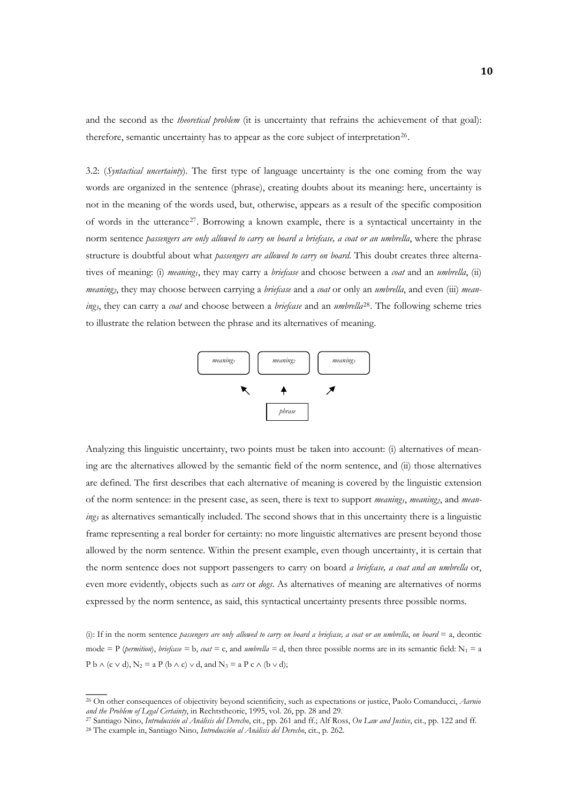and the second as the *theoretical problem* (it is uncertainty that refrains the achievement of that goal): therefore, semantic uncertainty has to appear as the core subject of interpretation<sup>[26](#page-9-0)</sup>.

3.2: (*Syntactical uncertainty*). The first type of language uncertainty is the one coming from the way words are organized in the sentence (phrase), creating doubts about its meaning: here, uncertainty is not in the meaning of the words used, but, otherwise, appears as a result of the specific composition of words in the utterance[27](#page-9-1). Borrowing a known example, there is a syntactical uncertainty in the norm sentence *passengers are only allowed to carry on board a briefcase, a coat or an umbrella*, where the phrase structure is doubtful about what *passengers are allowed to carry on board*. This doubt creates three alternatives of meaning: (i) *meaning1*, they may carry a *briefcase* and choose between a *coat* and an *umbrella*, (ii) *meaning2*, they may choose between carrying a *briefcase* and a *coat* or only an *umbrella*, and even (iii) *meaning3*, they can carry a *coat* and choose between a *briefcase* and an *umbrella*[28](#page-9-2). The following scheme tries to illustrate the relation between the phrase and its alternatives of meaning.



Analyzing this linguistic uncertainty, two points must be taken into account: (i) alternatives of meaning are the alternatives allowed by the semantic field of the norm sentence, and (ii) those alternatives are defined. The first describes that each alternative of meaning is covered by the linguistic extension of the norm sentence: in the present case, as seen, there is text to support *meaning*<sub>1</sub>, *meaning*<sub>2</sub>, and *meaning<sub>3</sub>* as alternatives semantically included. The second shows that in this uncertainty there is a linguistic frame representing a real border for certainty: no more linguistic alternatives are present beyond those allowed by the norm sentence. Within the present example, even though uncertainty, it is certain that the norm sentence does not support passengers to carry on board *a briefcase, a coat and an umbrella* or, even more evidently, objects such as *cars* or *dogs*. As alternatives of meaning are alternatives of norms expressed by the norm sentence, as said, this syntactical uncertainty presents three possible norms.

P b  $\wedge$  (c  $\vee$  d), N<sub>2</sub> = a P (b  $\wedge$  c)  $\vee$  d, and N<sub>3</sub> = a P c  $\wedge$  (b  $\vee$  d); (i): If in the norm sentence *passengers are only allowed to carry on board a briefcase, a coat or an umbrella*, *on board* = a, deontic mode = P (*permition*), *briefcase* = b, *coat* = c, and *umbrella* = d, then three possible norms are in its semantic field:  $N_1 = a$ 

<span id="page-9-0"></span><sup>&</sup>lt;sup>26</sup> On other consequences of objectivity beyond scientificity, such as expectations or justice, Paolo Comanducci, *Aarnio and the Problem of Legal Certainty*, in Rechtstheorie, 1995, vol. 26, pp. 28 and 29.

<span id="page-9-2"></span><span id="page-9-1"></span><sup>&</sup>lt;sup>27</sup> Santiago Nino, *Introducción al Análisis del Derecho*, cit., pp. 261 and ff.; Alf Ross, *On Law and Justice*, cit., pp. 122 and ff. <sup>28</sup> The example in, Santiago Nino, *Introducción al Análisis del Derecho*, cit., p.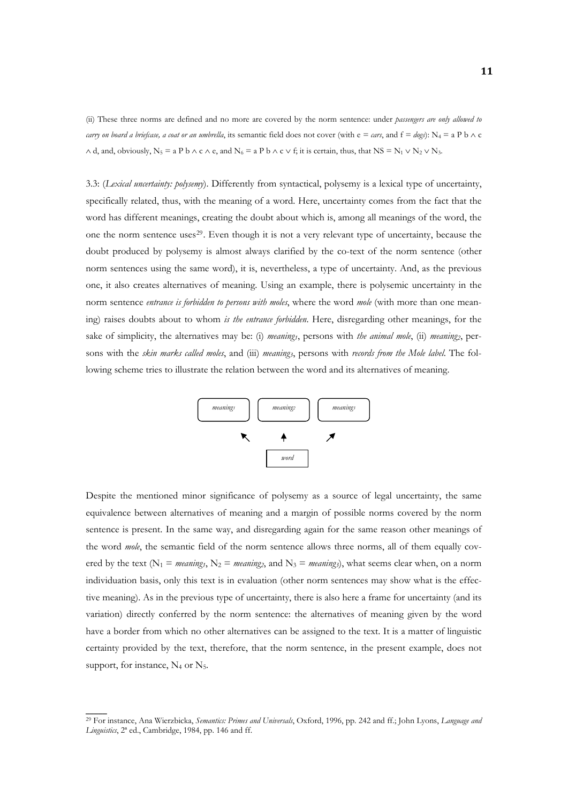(ii) These three norms are defined and no more are covered by the norm sentence: under *passengers are only allowed to carry on board a briefcase, a coat or an umbrella*, its semantic field does not cover (with e = *cars*, and  $f = degs$ ): N<sub>4</sub> = a P b  $\land c$  $\wedge$  d, and, obviously, N<sub>5</sub> = a P b  $\wedge$  c  $\wedge$  e, and N<sub>6</sub> = a P b  $\wedge$  c  $\vee$  f; it is certain, thus, that NS = N<sub>1</sub>  $\vee$  N<sub>2</sub>  $\vee$  N<sub>3</sub>.

3.3: (*Lexical uncertainty: polysemy*). Differently from syntactical, polysemy is a lexical type of uncertainty, specifically related, thus, with the meaning of a word. Here, uncertainty comes from the fact that the word has different meanings, creating the doubt about which is, among all meanings of the word, the one the norm sentence uses<sup>[29](#page-10-0)</sup>. Even though it is not a very relevant type of uncertainty, because the doubt produced by polysemy is almost always clarified by the co-text of the norm sentence (other norm sentences using the same word), it is, nevertheless, a type of uncertainty. And, as the previous one, it also creates alternatives of meaning. Using an example, there is polysemic uncertainty in the norm sentence *entrance is forbidden to persons with moles*, where the word *mole* (with more than one meaning) raises doubts about to whom *is the entrance forbidden*. Here, disregarding other meanings, for the sake of simplicity, the alternatives may be: (i) *meaning*<sub>1</sub>, persons with *the animal mole*, (ii) *meaning*<sub>2</sub>, persons with the *skin marks called moles*, and (iii) *meaning3*, persons with *records from the Mole label*. The following scheme tries to illustrate the relation between the word and its alternatives of meaning.



Despite the mentioned minor significance of polysemy as a source of legal uncertainty, the same equivalence between alternatives of meaning and a margin of possible norms covered by the norm sentence is present. In the same way, and disregarding again for the same reason other meanings of the word *mole*, the semantic field of the norm sentence allows three norms, all of them equally covered by the text ( $N_1$  = *meaning<sub>1</sub>*,  $N_2$  = *meaning<sub>2</sub>*, and  $N_3$  = *meaning<sub>3</sub>*), what seems clear when, on a norm individuation basis, only this text is in evaluation (other norm sentences may show what is the effective meaning). As in the previous type of uncertainty, there is also here a frame for uncertainty (and its variation) directly conferred by the norm sentence: the alternatives of meaning given by the word have a border from which no other alternatives can be assigned to the text. It is a matter of linguistic certainty provided by the text, therefore, that the norm sentence, in the present example, does not support, for instance,  $N_4$  or  $N_5$ .

<span id="page-10-0"></span><sup>29</sup> For instance, Ana Wierzbicka, *Semantics: Primes and Universals*, Oxford, 1996, pp. 242 and ff.; John Lyons, *Language and Linguistics*, 2ª ed., Cambridge, 1984, pp. 146 and ff.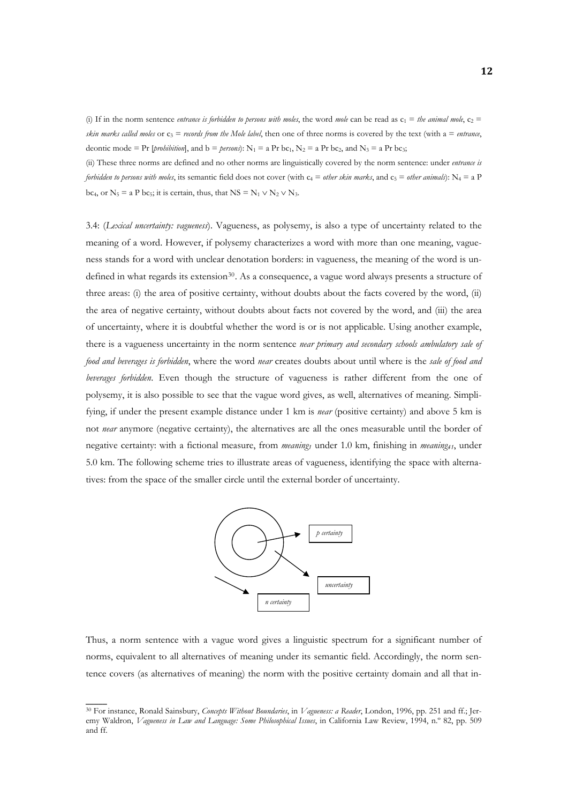(i) If in the norm sentence *entrance is forbidden to persons with moles*, the word *mole* can be read as  $c_1 =$  *the animal mole*,  $c_2 =$ *skin marks called moles* or  $c_3 =$  *records from the Mole label*, then one of three norms is covered by the text (with a  $=$  *entrance*, deontic mode = Pr [*prohibition*], and  $b =$  *persons*):  $N_1 = a Pr bc_1$ ,  $N_2 = a Pr bc_2$ , and  $N_3 = a Pr bc_3$ ;

(ii) These three norms are defined and no other norms are linguistically covered by the norm sentence: under *entrance is forbidden to persons with moles*, its semantic field does not cover (with  $c_4 =$  *other skin marks*, and  $c_5 =$  *other animals*):  $N_4 = a$  P bc<sub>4</sub>, or  $N_5 = a P b c_5$ ; it is certain, thus, that  $NS = N_1 \vee N_2 \vee N_3$ .

3.4: (*Lexical uncertainty: vagueness*). Vagueness, as polysemy, is also a type of uncertainty related to the meaning of a word. However, if polysemy characterizes a word with more than one meaning, vagueness stands for a word with unclear denotation borders: in vagueness, the meaning of the word is un-defined in what regards its extension<sup>[30](#page-11-0)</sup>. As a consequence, a vague word always presents a structure of three areas: (i) the area of positive certainty, without doubts about the facts covered by the word, (ii) the area of negative certainty, without doubts about facts not covered by the word, and (iii) the area of uncertainty, where it is doubtful whether the word is or is not applicable. Using another example, there is a vagueness uncertainty in the norm sentence *near primary and secondary schools ambulatory sale of food and beverages is forbidden*, where the word *near* creates doubts about until where is the *sale of food and beverages forbidden*. Even though the structure of vagueness is rather different from the one of polysemy, it is also possible to see that the vague word gives, as well, alternatives of meaning. Simplifying, if under the present example distance under 1 km is *near* (positive certainty) and above 5 km is not *near* anymore (negative certainty), the alternatives are all the ones measurable until the border of negative certainty: with a fictional measure, from *meaning1* under 1.0 km, finishing in *meaning41*, under 5.0 km. The following scheme tries to illustrate areas of vagueness, identifying the space with alternatives: from the space of the smaller circle until the external border of uncertainty.



tence covers (as alternatives of meaning) the norm with the positive certainty domain and all that in-Thus, a norm sentence with a vague word gives a linguistic spectrum for a significant number of norms, equivalent to all alternatives of meaning under its semantic field. Accordingly, the norm sen-

<span id="page-11-0"></span><sup>30</sup> For instance, Ronald Sainsbury, *Concepts Without Boundaries*, in *Vagueness: a Reader*, London, 1996, pp. 251 and ff.; Jeremy Waldron, *Vagueness in Law and Language: Some Philosophical Issues*, in California Law Review, 1994, n.º 82, pp. 509 and ff.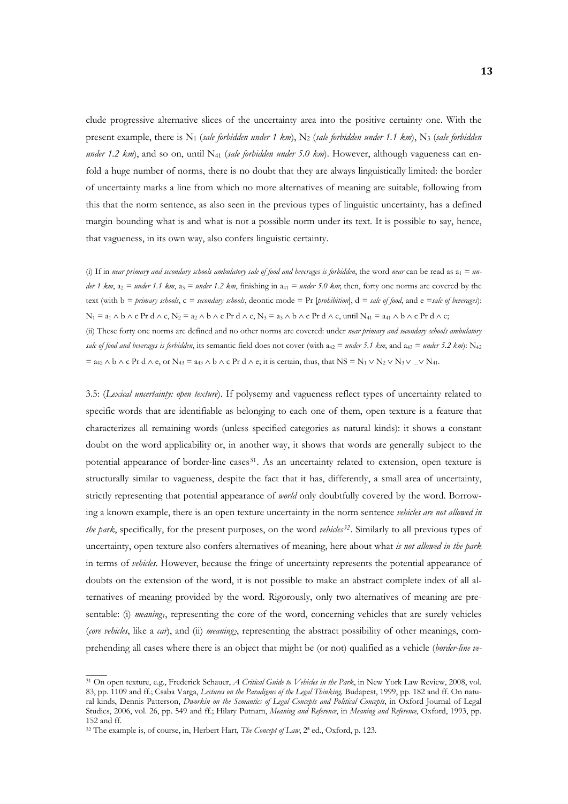clude progressive alternative slices of the uncertainty area into the positive certainty one. With the present example, there is N<sub>1</sub> (*sale forbidden under 1 km*), N<sub>2</sub> (*sale forbidden under 1.1 km*), N<sub>3</sub> (*sale forbidden under 1.2 km*), and so on, until N41 (*sale forbidden under 5.0 km*). However, although vagueness can enfold a huge number of norms, there is no doubt that they are always linguistically limited: the border of uncertainty marks a line from which no more alternatives of meaning are suitable, following from this that the norm sentence, as also seen in the previous types of linguistic uncertainty, has a defined margin bounding what is and what is not a possible norm under its text. It is possible to say, hence, that vagueness, in its own way, also confers linguistic certainty.

(i) If in *near primary and secondary schools ambulatory sale of food and beverages is forbidden, the word <i>near* can be read as  $a_1 = un$ *der 1 km*,  $a_2$  = *under 1.1 km*,  $a_3$  = *under 1.2 km*, finishing in  $a_{41}$  = *under 5.0 km*; then, forty one norms are covered by the text (with b *= primary schools*, c *= secondary schools*, deontic mode = Pr [*prohibition*], d *= sale of food*, and e *=sale of beverages*):  $N_1 = a_1 \wedge b \wedge c$  Pr d  $\wedge$  e,  $N_2 = a_2 \wedge b \wedge c$  Pr d  $\wedge$  e,  $N_3 = a_3 \wedge b \wedge c$  Pr d  $\wedge$  e, until  $N_{41} = a_{41} \wedge b \wedge c$  Pr d  $\wedge$  e; (ii) These forty one norms are defined and no other norms are covered: under *near primary and secondary schools ambulatory sale of food and beverages is forbidden*, its semantic field does not cover (with  $a_{42} =$  *under* 5.1 km, and  $a_{43} =$  *under* 5.2 km): N<sub>42</sub>  $=$  a<sub>42</sub> ∧ b ∧ c Pr d ∧ e, or N<sub>43</sub> = a<sub>43</sub> ∧ b ∧ c Pr d ∧ e; it is certain, thus, that NS = N<sub>1</sub> ∨ N<sub>2</sub> ∨ N<sub>3</sub> ∨ … ∨ N<sub>41</sub>.

prehending all cases where there is an object that might be (or not) qualified as a vehicle (*border-line ve-*3.5: (*Lexical uncertainty: open texture*). If polysemy and vagueness reflect types of uncertainty related to specific words that are identifiable as belonging to each one of them, open texture is a feature that characterizes all remaining words (unless specified categories as natural kinds): it shows a constant doubt on the word applicability or, in another way, it shows that words are generally subject to the potential appearance of border-line cases<sup>[31](#page-12-0)</sup>. As an uncertainty related to extension, open texture is structurally similar to vagueness, despite the fact that it has, differently, a small area of uncertainty, strictly representing that potential appearance of *world* only doubtfully covered by the word. Borrowing a known example, there is an open texture uncertainty in the norm sentence *vehicles are not allowed in the park*, specifically, for the present purposes, on the word *vehicles[32](#page-12-1)*. Similarly to all previous types of uncertainty, open texture also confers alternatives of meaning, here about what *is not allowed in the park*  in terms of *vehicles*. However, because the fringe of uncertainty represents the potential appearance of doubts on the extension of the word, it is not possible to make an abstract complete index of all alternatives of meaning provided by the word. Rigorously, only two alternatives of meaning are presentable: (i) *meaning*, representing the core of the word, concerning vehicles that are surely vehicles (*core vehicles*, like a *car*), and (ii) *meaning2*, representing the abstract possibility of other meanings, com-

<span id="page-12-0"></span><sup>31</sup> On open texture, e.g., Frederick Schauer, *A Critical Guide to Vehicles in the Park*, in New York Law Review, 2008, vol. 83, pp. 1109 and ff.; Csaba Varga, *Lectures on the Paradigms of the Legal Thinking,* Budapest, 1999, pp. 182 and ff. On natural kinds, Dennis Patterson, *Dworkin on the Semantics of Legal Concepts and Political Concepts*, in Oxford Journal of Legal Studies, 2006, vol. 26, pp. 549 and ff.; Hilary Putnam, *Meaning and Reference*, in *Meaning and Reference*, Oxford, 1993, pp. 152 and ff.

<span id="page-12-1"></span><sup>32</sup> The example is, of course, in, Herbert Hart, *The Concept of Law*, 2ª ed., Oxford, p. 123.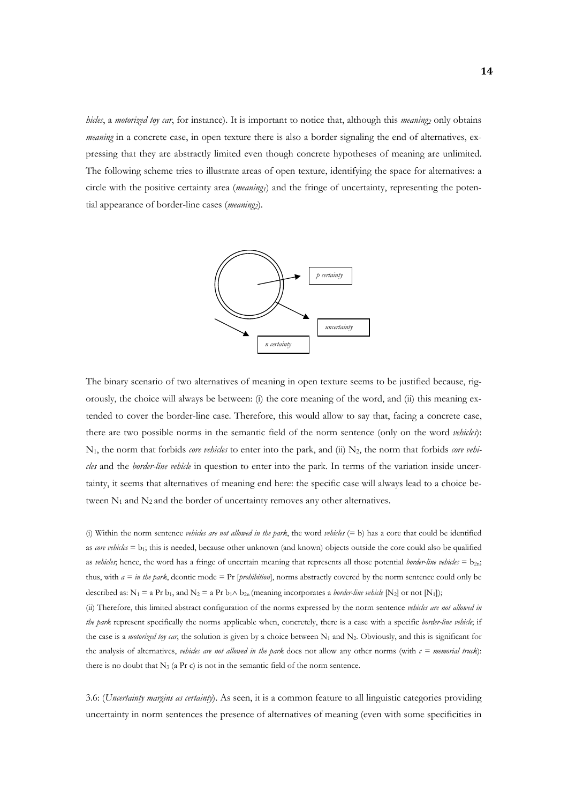*hicles*, a *motorized toy car*, for instance). It is important to notice that, although this *meaning*<sub>2</sub> only obtains *meaning* in a concrete case, in open texture there is also a border signaling the end of alternatives, expressing that they are abstractly limited even though concrete hypotheses of meaning are unlimited. The following scheme tries to illustrate areas of open texture, identifying the space for alternatives: a circle with the positive certainty area (*meaning1*) and the fringe of uncertainty, representing the potential appearance of border-line cases (*meaning*).



The binary scenario of two alternatives of meaning in open texture seems to be justified because, rigorously, the choice will always be between: (i) the core meaning of the word, and (ii) this meaning extended to cover the border-line case. Therefore, this would allow to say that, facing a concrete case, there are two possible norms in the semantic field of the norm sentence (only on the word *vehicles*): N1, the norm that forbids *core vehicles* to enter into the park, and (ii) N2, the norm that forbids *core vehicles* and the *border-line vehicle* in question to enter into the park. In terms of the variation inside uncertainty, it seems that alternatives of meaning end here: the specific case will always lead to a choice between  $N_1$  and  $N_2$  and the border of uncertainty removes any other alternatives.

(i) Within the norm sentence *vehicles are not allowed in the park*, the word *vehicles* (= b) has a core that could be identified as *core vehicles* = b<sub>1</sub>; this is needed, because other unknown (and known) objects outside the core could also be qualified as *vehicles*; hence, the word has a fringe of uncertain meaning that represents all those potential *border-line vehicles*  $= b_{2n}$ ; thus, with *a = in the park*, deontic mode = Pr [*prohibition*], norms abstractly covered by the norm sentence could only be described as:  $N_1 = a Pr b_1$ , and  $N_2 = a Pr b_1 \wedge b_2$  (meaning incorporates a *border-line vehicle* [N<sub>2</sub>] or not [N<sub>1</sub>]);

(ii) Therefore, this limited abstract configuration of the norms expressed by the norm sentence *vehicles are not allowed in the park* represent specifically the norms applicable when, concretely, there is a case with a specific *border-line vehicle*; if the case is a *motorized toy car*, the solution is given by a choice between  $N_1$  and  $N_2$ . Obviously, and this is significant for the analysis of alternatives, *vehicles are not allowed in the park* does not allow any other norms (with  $c = *memorial* (r. c)$ ): there is no doubt that  $N_3$  (a Pr c) is not in the semantic field of the norm sentence.

3.6: (*Uncertainty margins as certainty*). As seen, it is a common feature to all linguistic categories providing uncertainty in norm sentences the presence of alternatives of meaning (even with some specificities in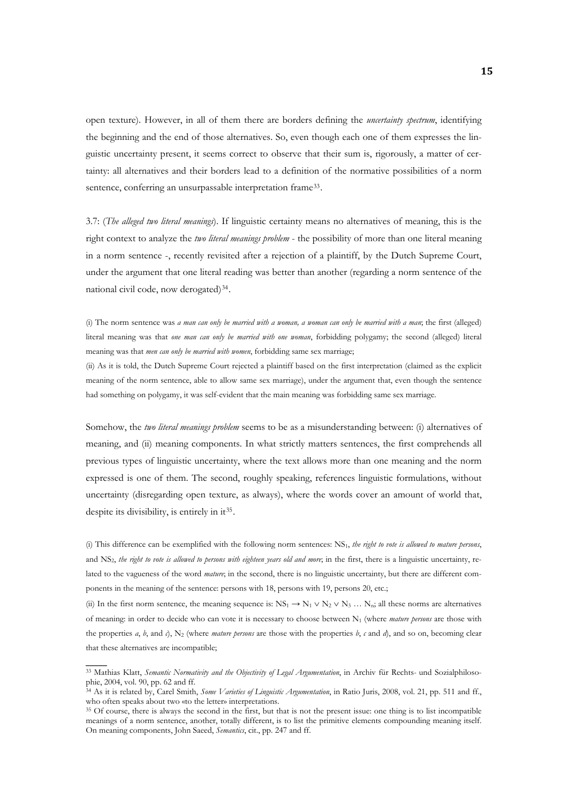open texture). However, in all of them there are borders defining the *uncertainty spectrum*, identifying the beginning and the end of those alternatives. So, even though each one of them expresses the linguistic uncertainty present, it seems correct to observe that their sum is, rigorously, a matter of certainty: all alternatives and their borders lead to a definition of the normative possibilities of a norm sentence, conferring an unsurpassable interpretation frame<sup>[33](#page-14-0)</sup>.

3.7: (*The alleged two literal meanings*). If linguistic certainty means no alternatives of meaning, this is the right context to analyze the *two literal meanings problem* - the possibility of more than one literal meaning in a norm sentence -, recently revisited after a rejection of a plaintiff, by the Dutch Supreme Court, under the argument that one literal reading was better than another (regarding a norm sentence of the national civil code, now derogated)[34](#page-14-1).

(i) The norm sentence was *a man can only be married with a woman, a woman can only be married with a man*; the first (alleged) literal meaning was that *one man can only be married with one woman*, forbidding polygamy; the second (alleged) literal meaning was that *men can only be married with women*, forbidding same sex marriage;

(ii) As it is told, the Dutch Supreme Court rejected a plaintiff based on the first interpretation (claimed as the explicit meaning of the norm sentence, able to allow same sex marriage), under the argument that, even though the sentence had something on polygamy, it was self-evident that the main meaning was forbidding same sex marriage.

Somehow, the *two literal meanings problem* seems to be as a misunderstanding between: (i) alternatives of meaning, and (ii) meaning components. In what strictly matters sentences, the first comprehends all previous types of linguistic uncertainty, where the text allows more than one meaning and the norm expressed is one of them. The second, roughly speaking, references linguistic formulations, without uncertainty (disregarding open texture, as always), where the words cover an amount of world that, despite its divisibility, is entirely in it<sup>[35](#page-14-2)</sup>.

(i) This difference can be exemplified with the following norm sentences: NS1, *the right to vote is allowed to mature persons*, and NS2, *the right to vote is allowed to persons with eighteen years old and more*; in the first, there is a linguistic uncertainty, related to the vagueness of the word *mature*; in the second, there is no linguistic uncertainty, but there are different components in the meaning of the sentence: persons with 18, persons with 19, persons 20, etc.;

the properties *a*, *b*, and *c*), N<sub>2</sub> (where *mature persons* are those with the properties *b*, *c* and *d*), and so on, becoming clear that th ese alternatives are incompatible; (ii) In the first norm sentence, the meaning sequence is:  $N_{51} \rightarrow N_1 \vee N_2 \vee N_3 \dots N_n$ ; all these norms are alternatives of meaning: in order to decide who can vote it is necessary to choose between N<sub>1</sub> (where *mature persons* are those with

<span id="page-14-0"></span><sup>33</sup> Mathias Klatt, *Semantic Normativity and the Objectivity of Legal Argumentation*, in Archiv für Rechts*-* und Sozialphilosophie, 2004, vol. 90, pp. 62 and ff.

<span id="page-14-1"></span><sup>34</sup> As it is related by, Carel Smith, *Some Varieties of Linguistic Argumentation*, in Ratio Juris, 2008, vol. 21, pp. 511 and ff., who often speaks about two «to the letter» interpretations.<br><sup>35</sup> Of course, there is always the second in the first, but that is not the present issue: one thing is to list incompatible

<span id="page-14-2"></span>meanings of a norm sentence, another, totally different, is to list the primitive elements compounding meaning itself. On meaning components, John Saeed, *Semantics*, cit., pp. 247 and ff.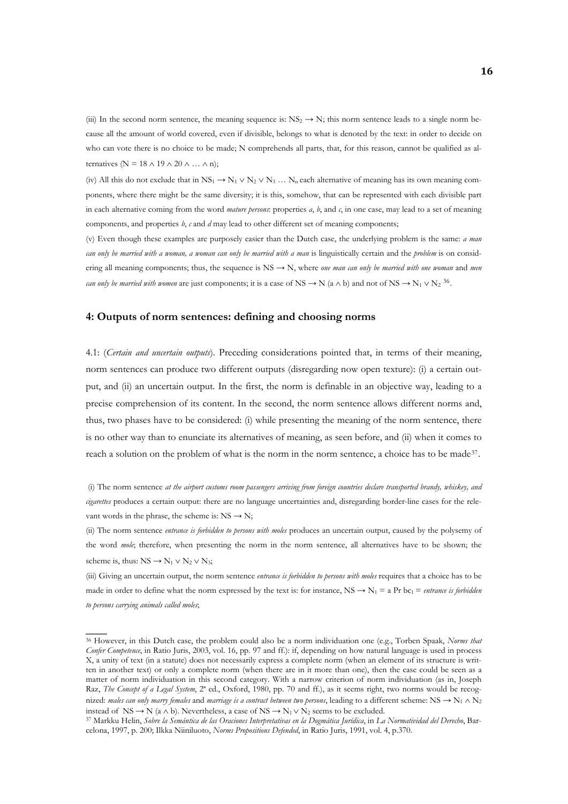(iii) In the second norm sentence, the meaning sequence is:  $NS_2 \rightarrow N$ ; this norm sentence leads to a single norm because all the amount of world covered, even if divisible, belongs to what is denoted by the text: in order to decide on who can vote there is no choice to be made; N comprehends all parts, that, for this reason, cannot be qualified as alternatives ( $N = 18 \land 19 \land 20 \land ... \land n$ );

(iv) All this do not exclude that in  $NS_1 \rightarrow N_1 \vee N_2 \vee N_3 \dots N_n$  each alternative of meaning has its own meaning components, where there might be the same diversity; it is this, somehow, that can be represented with each divisible part in each alternative coming from the word *mature persons*: properties  $a, b$ , and  $c$ , in one case, may lead to a set of meaning components, and properties *b*, *c* and *d* may lead to other different set of meaning components;

(v) Even though these examples are purposely easier than the Dutch case, the underlying problem is the same: *a man can only be married with a woman, a woman can only be married with a man* is linguistically certain and the *problem* is on considering all meaning components; thus, the sequence is  $NS \rightarrow N$ , where *one man can only be married with one woman* and *men can only be married with women* are just components; it is a case of NS  $\rightarrow$  N (a  $\land$  b) and not of NS  $\rightarrow$  N<sub>1</sub>  $\lor$  N<sub>2</sub><sup>[36](#page-15-0)</sup>.

#### **4: Outputs of norm sentences: defining and choosing norms**

4.1: (*Certain and uncertain outputs*). Preceding considerations pointed that, in terms of their meaning, norm sentences can produce two different outputs (disregarding now open texture): (i) a certain output, and (ii) an uncertain output. In the first, the norm is definable in an objective way, leading to a precise comprehension of its content. In the second, the norm sentence allows different norms and, thus, two phases have to be considered: (i) while presenting the meaning of the norm sentence, there is no other way than to enunciate its alternatives of meaning, as seen before, and (ii) when it comes to reach a solution on the problem of what is the norm in the norm sentence, a choice has to be made<sup>[37](#page-15-1)</sup>.

 (i) The norm sentence *at the airport customs room passengers arriving from foreign countries declare transported brandy, whiskey, and cigarettes* produces a certain output: there are no language uncertainties and, disregarding border-line cases for the relevant words in the phrase, the scheme is:  $NS \rightarrow N$ ;

(ii) The norm sentence *entrance is forbidden to persons with moles* produces an uncertain output, caused by the polysemy of the word *mole*; therefore, when presenting the norm in the norm sentence, all alternatives have to be shown; the scheme is, thus:  $NS \rightarrow N_1 \vee N_2 \vee N_3$ ;

to persons carrying animals called moles; (iii) Giving an uncertain output, the norm sentence *entrance is forbidden to persons with moles* requires that a choice has to be made in order to define what the norm expressed by the text is: for instance,  $NS \rightarrow N_1 = a Pr bc_1 =$  *entrance is forbidden* 

<span id="page-15-0"></span><sup>36</sup> However, in this Dutch case, the problem could also be a norm individuation one (e.g., Torben Spaak, *Norms that Confer Competence*, in Ratio Juris, 2003, vol. 16, pp. 97 and ff.): if, depending on how natural language is used in process X, a unity of text (in a statute) does not necessarily express a complete norm (when an element of its structure is written in another text) or only a complete norm (when there are in it more than one), then the case could be seen as a matter of norm individuation in this second category. With a narrow criterion of norm individuation (as in, Joseph Raz, *The Concept of a Legal System*, 2ª ed., Oxford, 1980, pp. 70 and ff.), as it seems right, two norms would be recognized: *males can only marry females* and *marriage is a contract between two persons*, leading to a different scheme: NS → N1 ∧ N2 instead of NS  $\rightarrow$  N (a  $\land$  b). Nevertheless, a case of NS  $\rightarrow$  N<sub>1</sub>  $\lor$  N<sub>2</sub> seems to be excluded.<br><sup>37</sup> Markku Helin, *Sobre la Semántica de las Oraciones Interpretativas en la Dogmática Jurídica*, in La Normatividad d

<span id="page-15-1"></span>celona, 1997, p. 200; Ilkka Niiniluoto, *Norms Propositions Defended*, in Ratio Juris, 1991, vol. 4, p.370.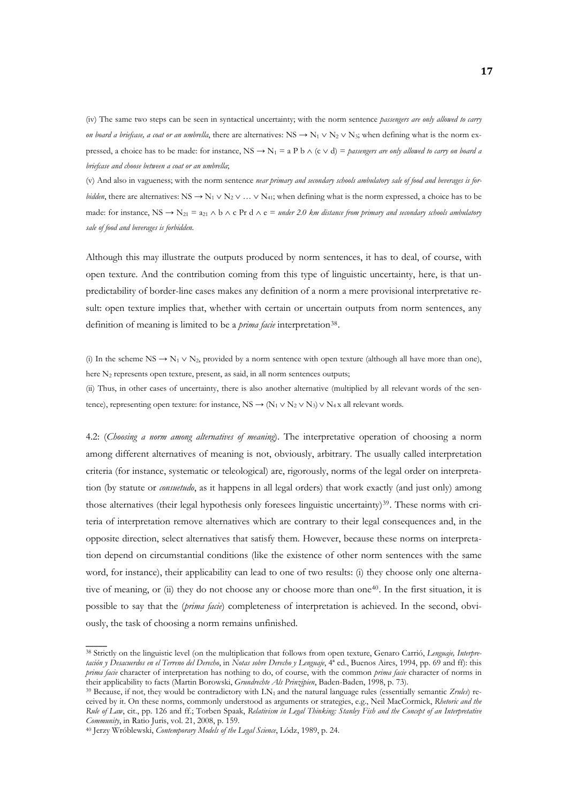(iv) The same two steps can be seen in syntactical uncertainty; with the norm sentence *passengers are only allowed to carry on board a briefcase, a coat or an umbrella*, there are alternatives: NS  $\rightarrow$  N<sub>1</sub> ∨ N<sub>2</sub> ∨ N<sub>3</sub>; when defining what is the norm expressed, a choice has to be made: for instance,  $NS \rightarrow N_1 = a P b \land (c \lor d) =$  *passengers are only allowed to carry on board a briefcase and choose between a coat or an umbrella*;

(v) And also in vagueness; with the norm sentence *near primary and secondary schools ambulatory sale of food and beverages is forbidden*, there are alternatives: NS  $\rightarrow$  N<sub>1</sub> ∨ N<sub>2</sub> ∨ … ∨ N<sub>41</sub>; when defining what is the norm expressed, a choice has to be made: for instance, NS  $\rightarrow$  N<sub>21</sub> = a<sub>21</sub>  $\land$  b  $\land$  c Pr d  $\land$  e = *under 2.0 km distance from primary and secondary schools ambulatory sale of food and beverages is forbidden*.

Although this may illustrate the outputs produced by norm sentences, it has to deal, of course, with open texture. And the contribution coming from this type of linguistic uncertainty, here, is that unpredictability of border-line cases makes any definition of a norm a mere provisional interpretative result: open texture implies that, whether with certain or uncertain outputs from norm sentences, any definition of meaning is limited to be a *prima facie* interpretation<sup>[38](#page-16-0)</sup>.

(i) In the scheme NS  $\rightarrow$  N<sub>1</sub>  $\vee$  N<sub>2</sub>, provided by a norm sentence with open texture (although all have more than one), here N<sub>2</sub> represents open texture, present, as said, in all norm sentences outputs;

(ii) Thus, in other cases of uncertainty, there is also another alternative (multiplied by all relevant words of the sentence), representing open texture: for instance,  $NS \rightarrow (N_1 \vee N_2 \vee N_3) \vee N_4$  x all relevant words.

ously, the task of choosing a norm remains unfinished. 4.2: (*Choosing a norm among alternatives of meaning*). The interpretative operation of choosing a norm among different alternatives of meaning is not, obviously, arbitrary. The usually called interpretation criteria (for instance, systematic or teleological) are, rigorously, norms of the legal order on interpretation (by statute or *consuetudo*, as it happens in all legal orders) that work exactly (and just only) among those alternatives (their legal hypothesis only foresees linguistic uncertainty)<sup>[39](#page-16-1)</sup>. These norms with criteria of interpretation remove alternatives which are contrary to their legal consequences and, in the opposite direction, select alternatives that satisfy them. However, because these norms on interpretation depend on circumstantial conditions (like the existence of other norm sentences with the same word, for instance), their applicability can lead to one of two results: (i) they choose only one alterna-tive of meaning, or (ii) they do not choose any or choose more than one<sup>[40](#page-16-2)</sup>. In the first situation, it is possible to say that the (*prima facie*) completeness of interpretation is achieved. In the second, obvi-

<span id="page-16-0"></span><sup>38</sup> Strictly on the linguistic level (on the multiplication that follows from open texture, Genaro Carrió, *Lenguaje, Interpretación y Desacuerdos en el Terreno del Derecho*, in *Notas sobre Derecho y Lenguaje*, 4ª ed., Buenos Aires, 1994, pp. 69 and ff): this *prima facie* character of interpretation has nothing to do, of course, with the common *prima facie* character of norms in their applicability to facts (Martin Borowski, *Grundrechte Als Prinzipien*, Baden-Baden, 1998, p. 73).<br><sup>39</sup> Because, if not, they would be contradictory with LN<sub>1</sub> and the natural language rules (essentially semantic Zrul

<span id="page-16-1"></span>ceived by it. On these norms, commonly understood as arguments or strategies, e.g., Neil MacCormick, *Rhetoric and the Rule of Law*, cit., pp. 126 and ff.; Torben Spaak, *Relativism in Legal Thinking: Stanley Fish and the Concept of an Interpretative Community*, in Ratio Juris, vol. 21, 2008, p. 159. 40 Jerzy Wróblewski, *Contemporary Models of the Legal Science*, Lódz, 1989, p. 24.

<span id="page-16-2"></span>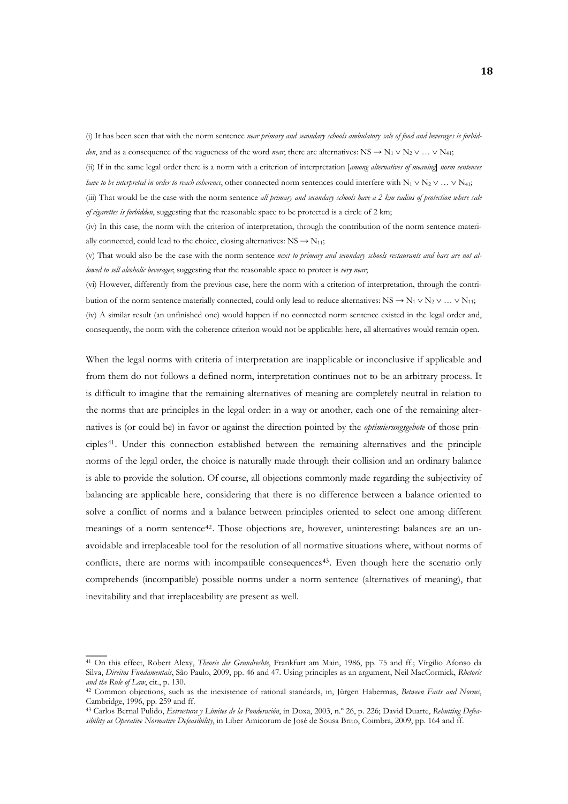(i) It has been seen that with the norm sentence *near primary and secondary schools ambulatory sale of food and beverages is forbidden*, and as a consequence of the vagueness of the word *near*, there are alternatives: NS  $\rightarrow$  N<sub>1</sub> ∨ N<sub>2</sub> ∨ … ∨ N<sub>41</sub>;

(ii) If in the same legal order there is a norm with a criterion of interpretation [*among alternatives of meaning*] *norm sentences have to be interpreted in order to reach coherence*, other connected norm sentences could interfere with N<sub>1</sub> ∨ N<sub>2</sub> ∨ … ∨ N<sub>41</sub>;

(iii) That would be the case with the norm sentence *all primary and secondary schools have a 2 km radius of protection where sale of cigarettes is forbidden*, suggesting that the reasonable space to be protected is a circle of 2 km;

(iv) In this case, the norm with the criterion of interpretation, through the contribution of the norm sentence materially connected, could lead to the choice, closing alternatives:  $NS \rightarrow N_{11}$ ;

(v) That would also be the case with the norm sentence *next to primary and secondary schools restaurants and bars are not allowed to sell alcoholic beverages*; suggesting that the reasonable space to protect is *very near*;

(vi) However, differently from the previous case, here the norm with a criterion of interpretation, through the contribution of the norm sentence materially connected, could only lead to reduce alternatives:  $NS \rightarrow N_1 \vee N_2 \vee ... \vee N_{11}$ ;

(iv) A similar result (an unfinished one) would happen if no connected norm sentence existed in the legal order and, consequently, the norm with the coherence criterion would not be applicable: here, all alternatives would remain open.

When the legal norms with criteria of interpretation are inapplicable or inconclusive if applicable and from them do not follows a defined norm, interpretation continues not to be an arbitrary process. It is difficult to imagine that the remaining alternatives of meaning are completely neutral in relation to the norms that are principles in the legal order: in a way or another, each one of the remaining alternatives is (or could be) in favor or against the direction pointed by the *optimierungsgebote* of those principles[41](#page-17-0). Under this connection established between the remaining alternatives and the principle norms of the legal order, the choice is naturally made through their collision and an ordinary balance is able to provide the solution. Of course, all objections commonly made regarding the subjectivity of balancing are applicable here, considering that there is no difference between a balance oriented to solve a conflict of norms and a balance between principles oriented to select one among different meanings of a norm sentence[42](#page-17-1). Those objections are, however, uninteresting: balances are an unavoidable and irreplaceable tool for the resolution of all normative situations where, without norms of conflicts, there are norms with incompatible consequences<sup>[43](#page-17-2)</sup>. Even though here the scenario only comprehends (incompatible) possible norms under a norm sentence (alternatives of meaning), that inevitability and that irreplaceability are present as well.

<span id="page-17-0"></span><sup>41</sup> On this effect, Robert Alexy, *Theorie der Grundrechte*, Frankfurt am Main, 1986, pp. 75 and ff.; Vírgilio Afonso da Silva, *Direitos Fundamentais*, São Paulo, 2009, pp. 46 and 47. Using principles as an argument, Neil MacCormick, *Rhetoric and the Rule of Law*, cit., p. 130. 42 Common objections, such as the inexistence of rational standards, in, Jürgen Habermas, *Between Facts and Norms*,

<span id="page-17-1"></span>Cambridge, 1996, pp. 259 and ff.

<span id="page-17-2"></span><sup>43</sup> Carlos Bernal Pulido, *Estructura y Límites de la Ponderación*, in Doxa, 2003, n.º 26, p. 226; David Duarte, *Rebutting Defeasibility as Operative Normative Defeasibility*, in Liber Amicorum de José de Sousa Brito, Coimbra, 2009, pp. 164 and ff.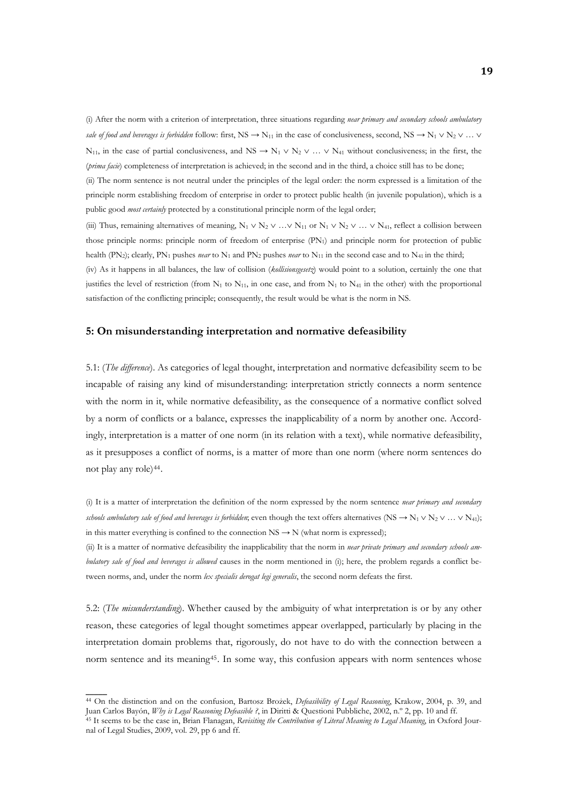(i) After the norm with a criterion of interpretation, three situations regarding *near primary and secondary schools ambulatory sale of food and beverages is forbidden* follow: first, NS  $\rightarrow$  N<sub>11</sub> in the case of conclusiveness, second, NS  $\rightarrow$  N<sub>1</sub>  $\vee$  N<sub>2</sub>  $\vee$  ...  $\vee$ N<sub>11</sub>, in the case of partial conclusiveness, and NS  $\rightarrow$  N<sub>1</sub>  $\vee$  N<sub>2</sub>  $\vee$  ...  $\vee$  N<sub>41</sub> without conclusiveness; in the first, the (*prima facie*) completeness of interpretation is achieved; in the second and in the third, a choice still has to be done; (ii) The norm sentence is not neutral under the principles of the legal order: the norm expressed is a limitation of the principle norm establishing freedom of enterprise in order to protect public health (in juvenile population), which is a public good *most certainly* protected by a constitutional principle norm of the legal order;

(iii) Thus, remaining alternatives of meaning,  $N_1 \vee N_2 \vee ... \vee N_{11}$  or  $N_1 \vee N_2 \vee ... \vee N_{41}$ , reflect a collision between those principle norms: principle norm of freedom of enterprise (PN1) and principle norm for protection of public health (PN<sub>2</sub>); clearly, PN<sub>1</sub> pushes *near* to N<sub>1</sub> and PN<sub>2</sub> pushes *near* to N<sub>11</sub> in the second case and to N<sub>41</sub> in the third; (iv) As it happens in all balances, the law of collision (*kollisionsgesetz*) would point to a solution, certainly the one that justifies the level of restriction (from  $N_1$  to  $N_{11}$ , in one case, and from  $N_1$  to  $N_{41}$  in the other) with the proportional satisfaction of the conflicting principle; consequently, the result would be what is the norm in NS.

#### **5: On misunderstanding interpretation and normative defeasibility**

5.1: (*The difference*). As categories of legal thought, interpretation and normative defeasibility seem to be incapable of raising any kind of misunderstanding: interpretation strictly connects a norm sentence with the norm in it, while normative defeasibility, as the consequence of a normative conflict solved by a norm of conflicts or a balance, expresses the inapplicability of a norm by another one. Accordingly, interpretation is a matter of one norm (in its relation with a text), while normative defeasibility, as it presupposes a conflict of norms, is a matter of more than one norm (where norm sentences do not play any role)[44](#page-18-0).

(i) It is a matter of interpretation the definition of the norm expressed by the norm sentence *near primary and secondary schools ambulatory sale of food and beverages is forbidden*; even though the text offers alternatives (NS  $\rightarrow N_1 \vee N_2 \vee ... \vee N_{41}$ ); in this matter everything is confined to the connection  $NS \rightarrow N$  (what norm is expressed);

(ii) It is a matter of normative defeasibility the inapplicability that the norm in *near private primary and secondary schools ambulatory sale of food and beverages is allowed* causes in the norm mentioned in (i); here, the problem regards a conflict between norms, and, under the norm *lex specialis derogat legi generalis*, the second norm defeats the first.

5.2: (*The misunderstanding*). Whether caused by the ambiguity of what interpretation is or by any other reason, these categories of legal thought sometimes appear overlapped, particularly by placing in the interpretation domain problems that, rigorously, do not have to do with the connection between a norm sentence and its meaning[45](#page-18-1). In some way, this confusion appears with norm sentences whose

<span id="page-18-0"></span><sup>44</sup> On the distinction and on the confusion, Bartosz Brożek, *Defeasibility of Legal Reasoning*, Krakow, 2004, p. 39, and<br>Juan Carlos Bayón, *Why is Legal Reasoning Defeasible ?*, in Diritti & Questioni Pubbliche, 2002, n.º

<span id="page-18-1"></span><sup>&</sup>lt;sup>45</sup> It seems to be the case in, Brian Flanagan, Revisiting the Contribution of Literal Meaning to Legal Meaning, in Oxford Journal of Legal Studies, 2009, vol. 29, pp 6 and ff.